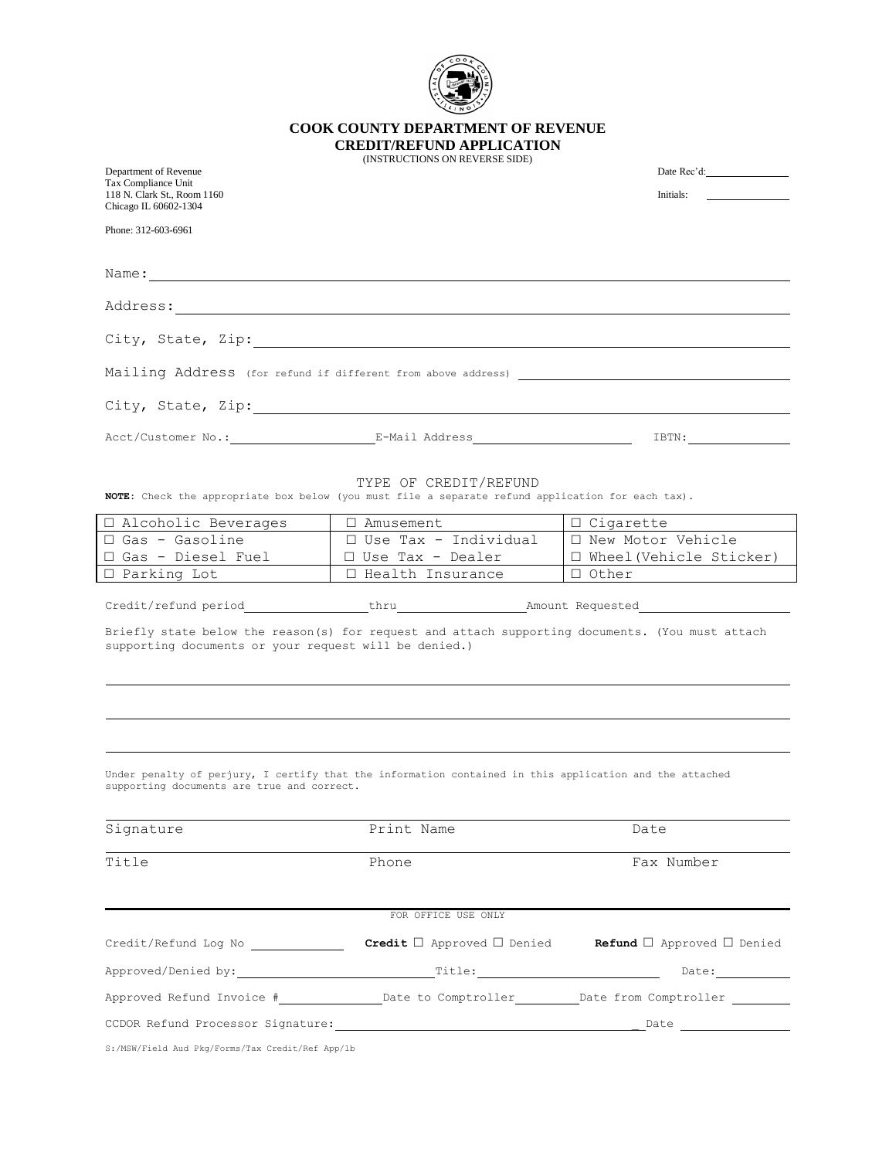

 $\overline{\phantom{a}}$ 

|                                                       | <b>COOK COUNTY DEPARTMENT OF REVENUE</b><br><b>CREDIT/REFUND APPLICATION</b><br>(INSTRUCTIONS ON REVERSE SIDE)             |                                                                                         |
|-------------------------------------------------------|----------------------------------------------------------------------------------------------------------------------------|-----------------------------------------------------------------------------------------|
| Department of Revenue<br>Tax Compliance Unit          |                                                                                                                            | Date Rec'd:                                                                             |
| 118 N. Clark St., Room 1160<br>Chicago IL 60602-1304  |                                                                                                                            | Initials:                                                                               |
| Phone: 312-603-6961                                   |                                                                                                                            |                                                                                         |
|                                                       |                                                                                                                            |                                                                                         |
|                                                       |                                                                                                                            |                                                                                         |
|                                                       |                                                                                                                            |                                                                                         |
|                                                       |                                                                                                                            |                                                                                         |
|                                                       | Mailing Address (for refund if different from above address)                                                               |                                                                                         |
|                                                       |                                                                                                                            |                                                                                         |
|                                                       |                                                                                                                            |                                                                                         |
|                                                       |                                                                                                                            |                                                                                         |
|                                                       | TYPE OF CREDIT/REFUND<br>NOTE: Check the appropriate box below (you must file a separate refund application for each tax). |                                                                                         |
| □ Alcoholic Beverages                                 | □ Amusement                                                                                                                | $\Box$ Cigarette                                                                        |
| $\square$ Gas - Gasoline                              | $\Box$ Use Tax - Individual                                                                                                | □ New Motor Vehicle                                                                     |
| □ Gas - Diesel Fuel                                   | □ Use Tax - Dealer                                                                                                         | $\Box$ Wheel (Vehicle Sticker)                                                          |
| □ Parking Lot                                         | □ Health Insurance                                                                                                         | $\Box$ Other                                                                            |
|                                                       |                                                                                                                            |                                                                                         |
| supporting documents or your request will be denied.) | Briefly state below the reason(s) for request and attach supporting documents. (You must attach                            |                                                                                         |
|                                                       |                                                                                                                            |                                                                                         |
|                                                       |                                                                                                                            |                                                                                         |
| supporting documents are true and correct.            | Under penalty of perjury, I certify that the information contained in this application and the attached                    |                                                                                         |
| Signature                                             | Print Name                                                                                                                 | Date                                                                                    |
| Title                                                 | Phone                                                                                                                      | Fax Number                                                                              |
|                                                       | FOR OFFICE USE ONLY                                                                                                        |                                                                                         |
| Credit/Refund Log No                                  |                                                                                                                            | <b>Credit</b> $\Box$ Approved $\Box$ Denied <b>Refund</b> $\Box$ Approved $\Box$ Denied |
|                                                       |                                                                                                                            | Title: Date: Date:                                                                      |
|                                                       | Approved Refund Invoice # Date to Comptroller Date from Comptroller                                                        |                                                                                         |

CCDOR Refund Processor Signature: \_ Date

S:/MSW/Field Aud Pkg/Forms/Tax Credit/Ref App/lb